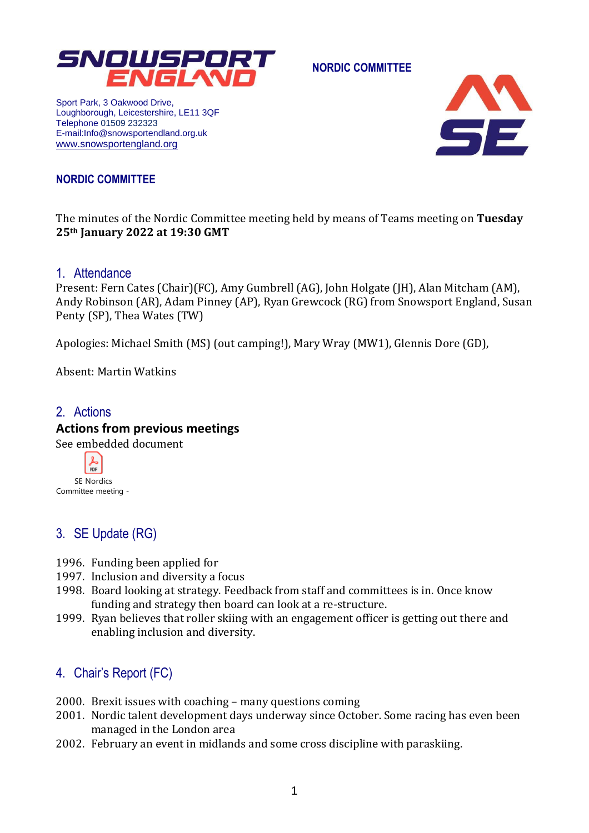

**NORDIC COMMITTEE**

Sport Park, 3 Oakwood Drive, Loughborough, Leicestershire, LE11 3QF Telephone 01509 232323 E-mail:Info@snowsportendland.org.uk [www.snowsportengland.org](http://www.snowsportengland.org/)



#### **NORDIC COMMITTEE**

The minutes of the Nordic Committee meeting held by means of Teams meeting on **Tuesday 25th January 2022 at 19:30 GMT**

#### 1. Attendance

Present: Fern Cates (Chair)(FC), Amy Gumbrell (AG), John Holgate (JH), Alan Mitcham (AM), Andy Robinson (AR), Adam Pinney (AP), Ryan Grewcock (RG) from Snowsport England, Susan Penty (SP), Thea Wates (TW)

Apologies: Michael Smith (MS) (out camping!), Mary Wray (MW1), Glennis Dore (GD),

Absent: Martin Watkins

# 2. Actions **Actions from previous meetings**

See embedded document

PDF SE Nordics Committee meeting -

# 3. SE Update (RG)

- 1996. Funding been applied for
- 1997. Inclusion and diversity a focus
- 1998. Board looking at strategy. Feedback from staff and committees is in. Once know funding and strategy then board can look at a re-structure.
- 1999. Ryan believes that roller skiing with an engagement officer is getting out there and enabling inclusion and diversity.

### 4. Chair's Report (FC)

- 2000. Brexit issues with coaching many questions coming
- 2001. Nordic talent development days underway since October. Some racing has even been managed in the London area
- 2002. February an event in midlands and some cross discipline with paraskiing.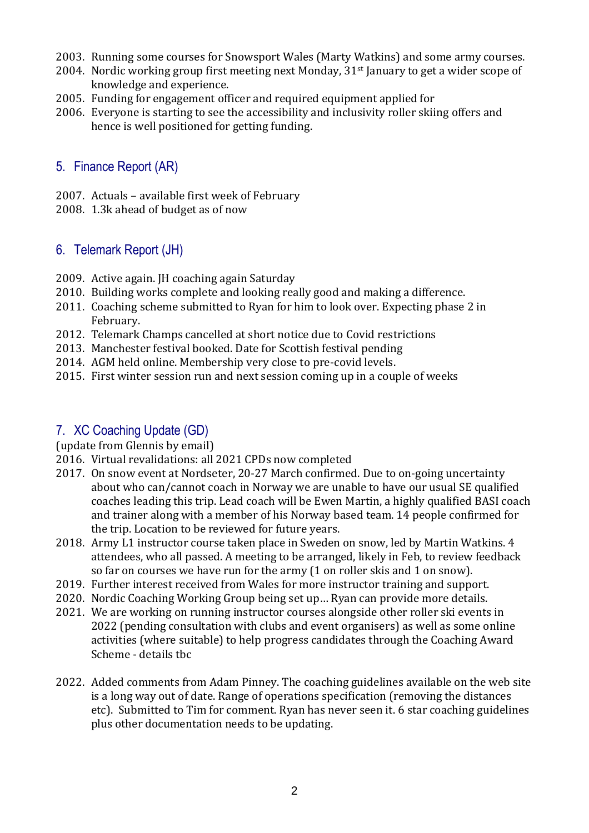- 2003. Running some courses for Snowsport Wales (Marty Watkins) and some army courses.
- 2004. Nordic working group first meeting next Monday, 31<sup>st</sup> January to get a wider scope of knowledge and experience.
- 2005. Funding for engagement officer and required equipment applied for
- 2006. Everyone is starting to see the accessibility and inclusivity roller skiing offers and hence is well positioned for getting funding.

### 5. Finance Report (AR)

- 2007. Actuals available first week of February
- 2008. 1.3k ahead of budget as of now

# 6. Telemark Report (JH)

- 2009. Active again. JH coaching again Saturday
- 2010. Building works complete and looking really good and making a difference.
- 2011. Coaching scheme submitted to Ryan for him to look over. Expecting phase 2 in February.
- 2012. Telemark Champs cancelled at short notice due to Covid restrictions
- 2013. Manchester festival booked. Date for Scottish festival pending
- 2014. AGM held online. Membership very close to pre-covid levels.
- 2015. First winter session run and next session coming up in a couple of weeks

# 7. XC Coaching Update (GD)

#### (update from Glennis by email)

- 2016. Virtual revalidations: all 2021 CPDs now completed
- 2017. On snow event at Nordseter, 20-27 March confirmed. Due to on-going uncertainty about who can/cannot coach in Norway we are unable to have our usual SE qualified coaches leading this trip. Lead coach will be Ewen Martin, a highly qualified BASI coach and trainer along with a member of his Norway based team. 14 people confirmed for the trip. Location to be reviewed for future years.
- 2018. Army L1 instructor course taken place in Sweden on snow, led by Martin Watkins. 4 attendees, who all passed. A meeting to be arranged, likely in Feb, to review feedback so far on courses we have run for the army (1 on roller skis and 1 on snow).
- 2019. Further interest received from Wales for more instructor training and support.
- 2020. Nordic Coaching Working Group being set up… Ryan can provide more details.
- 2021. We are working on running instructor courses alongside other roller ski events in 2022 (pending consultation with clubs and event organisers) as well as some online activities (where suitable) to help progress candidates through the Coaching Award Scheme - details tbc
- 2022. Added comments from Adam Pinney. The coaching guidelines available on the web site is a long way out of date. Range of operations specification (removing the distances etc). Submitted to Tim for comment. Ryan has never seen it. 6 star coaching guidelines plus other documentation needs to be updating.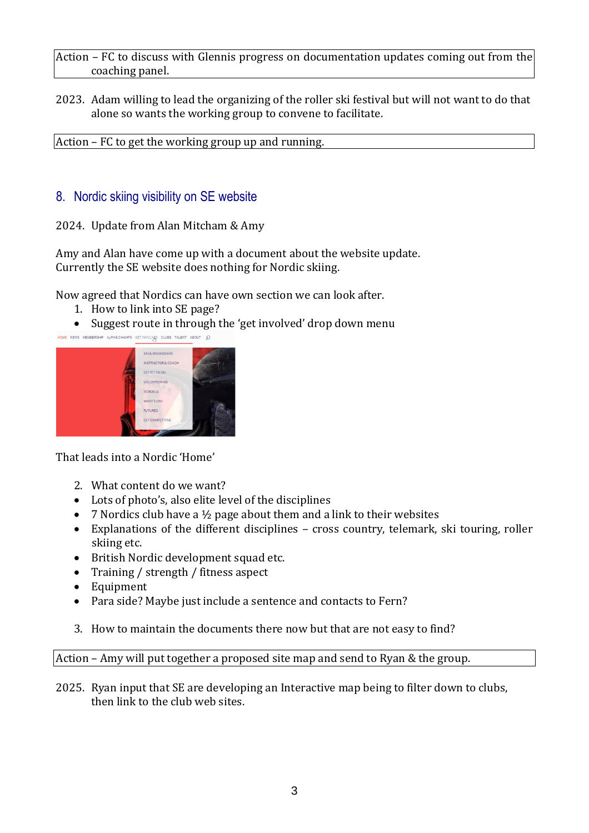Action – FC to discuss with Glennis progress on documentation updates coming out from the coaching panel.

2023. Adam willing to lead the organizing of the roller ski festival but will not want to do that alone so wants the working group to convene to facilitate.

Action – FC to get the working group up and running.

#### 8. Nordic skiing visibility on SE website

2024. Update from Alan Mitcham & Amy

Amy and Alan have come up with a document about the website update. Currently the SE website does nothing for Nordic skiing.

Now agreed that Nordics can have own section we can look after.

- 1. How to link into SE page?
- Suggest route in through the 'get involved' drop down menu

|  | SKI & SNOWBOARD        |  |
|--|------------------------|--|
|  | INSTRUCTOR & COACH     |  |
|  | <b>GET FIT TO SKI</b>  |  |
|  | <b>VOLUNTEERING</b>    |  |
|  | <b>SCHOOLS</b>         |  |
|  | WHAT'S ON?             |  |
|  | <b>FUTURES</b>         |  |
|  | <b>GET COMPETITIVE</b> |  |

That leads into a Nordic 'Home'

- 2. What content do we want?
- Lots of photo's, also elite level of the disciplines
- 7 Nordics club have a  $\frac{1}{2}$  page about them and a link to their websites
- Explanations of the different disciplines cross country, telemark, ski touring, roller skiing etc.
- British Nordic development squad etc.
- Training / strength / fitness aspect
- Equipment
- Para side? Maybe just include a sentence and contacts to Fern?
- 3. How to maintain the documents there now but that are not easy to find?

Action – Amy will put together a proposed site map and send to Ryan & the group.

2025. Ryan input that SE are developing an Interactive map being to filter down to clubs, then link to the club web sites.